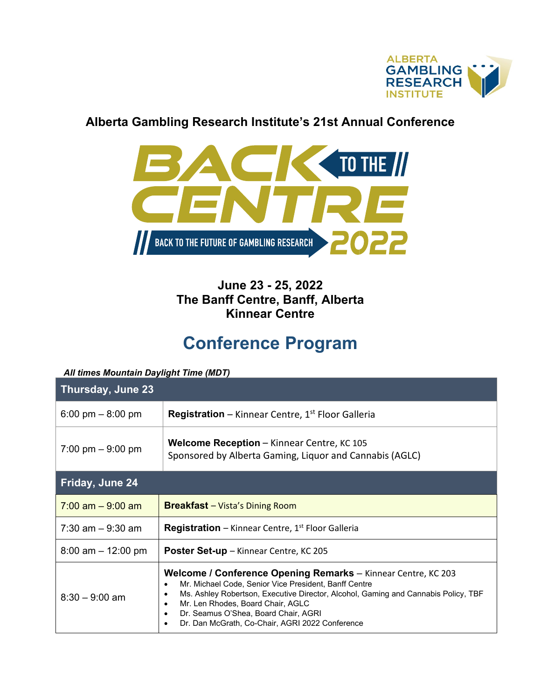

## **Alberta Gambling Research Institute's 21st Annual Conference**



## **June 23 - 25, 2022 The Banff Centre, Banff, Alberta Kinnear Centre**

## **Conference Program**

## *All times Mountain Daylight Time (MDT)*

| Thursday, June 23     |                                                                                                                                                                                                                                                                                                                                                           |  |  |  |
|-----------------------|-----------------------------------------------------------------------------------------------------------------------------------------------------------------------------------------------------------------------------------------------------------------------------------------------------------------------------------------------------------|--|--|--|
| 6:00 pm $-$ 8:00 pm   | <b>Registration</b> – Kinnear Centre, $1^{st}$ Floor Galleria                                                                                                                                                                                                                                                                                             |  |  |  |
| 7:00 pm $-9:00$ pm    | <b>Welcome Reception</b> – Kinnear Centre, KC 105<br>Sponsored by Alberta Gaming, Liquor and Cannabis (AGLC)                                                                                                                                                                                                                                              |  |  |  |
| Friday, June 24       |                                                                                                                                                                                                                                                                                                                                                           |  |  |  |
| $7:00$ am $-9:00$ am  | <b>Breakfast</b> - Vista's Dining Room                                                                                                                                                                                                                                                                                                                    |  |  |  |
| $7:30$ am $-9:30$ am  | <b>Registration</b> – Kinnear Centre, $1st$ Floor Galleria                                                                                                                                                                                                                                                                                                |  |  |  |
| $8:00$ am $-12:00$ pm | <b>Poster Set-up</b> – Kinnear Centre, KC 205                                                                                                                                                                                                                                                                                                             |  |  |  |
| $8:30 - 9:00$ am      | Welcome / Conference Opening Remarks - Kinnear Centre, KC 203<br>Mr. Michael Code, Senior Vice President, Banff Centre<br>$\bullet$<br>Ms. Ashley Robertson, Executive Director, Alcohol, Gaming and Cannabis Policy, TBF<br>Mr. Len Rhodes, Board Chair, AGLC<br>Dr. Seamus O'Shea, Board Chair, AGRI<br>Dr. Dan McGrath, Co-Chair, AGRI 2022 Conference |  |  |  |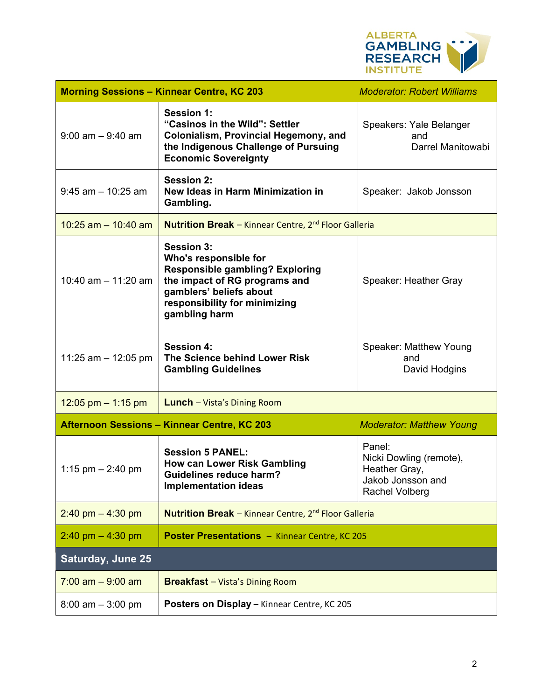

| <b>Morning Sessions - Kinnear Centre, KC 203</b> |                                                                                                                                                                                                    | <b>Moderator: Robert Williams</b>                                                         |  |  |  |  |
|--------------------------------------------------|----------------------------------------------------------------------------------------------------------------------------------------------------------------------------------------------------|-------------------------------------------------------------------------------------------|--|--|--|--|
| $9:00$ am $-9:40$ am                             | <b>Session 1:</b><br>"Casinos in the Wild": Settler<br><b>Colonialism, Provincial Hegemony, and</b><br>the Indigenous Challenge of Pursuing<br><b>Economic Sovereignty</b>                         | Speakers: Yale Belanger<br>and<br>Darrel Manitowabi                                       |  |  |  |  |
| $9:45$ am $-10:25$ am                            | <b>Session 2:</b><br>New Ideas in Harm Minimization in<br>Gambling.                                                                                                                                | Speaker: Jakob Jonsson                                                                    |  |  |  |  |
| 10:25 am $-$ 10:40 am                            | Nutrition Break - Kinnear Centre, 2 <sup>nd</sup> Floor Galleria                                                                                                                                   |                                                                                           |  |  |  |  |
| 10:40 am $-$ 11:20 am                            | <b>Session 3:</b><br>Who's responsible for<br><b>Responsible gambling? Exploring</b><br>the impact of RG programs and<br>gamblers' beliefs about<br>responsibility for minimizing<br>gambling harm | Speaker: Heather Gray                                                                     |  |  |  |  |
| 11:25 am $-$ 12:05 pm                            | <b>Session 4:</b><br>The Science behind Lower Risk<br><b>Gambling Guidelines</b>                                                                                                                   | Speaker: Matthew Young<br>and<br>David Hodgins                                            |  |  |  |  |
| 12:05 pm $-$ 1:15 pm                             | <b>Lunch</b> - Vista's Dining Room                                                                                                                                                                 |                                                                                           |  |  |  |  |
|                                                  | <b>Afternoon Sessions - Kinnear Centre, KC 203</b>                                                                                                                                                 | <b>Moderator: Matthew Young</b>                                                           |  |  |  |  |
| 1:15 pm $- 2:40$ pm                              | <b>Session 5 PANEL:</b><br><b>How can Lower Risk Gambling</b><br><b>Guidelines reduce harm?</b><br><b>Implementation ideas</b>                                                                     | Panel:<br>Nicki Dowling (remote),<br>Heather Gray,<br>Jakob Jonsson and<br>Rachel Volberg |  |  |  |  |
| $2:40$ pm $-4:30$ pm                             | <b>Nutrition Break</b> - Kinnear Centre, 2 <sup>nd</sup> Floor Galleria                                                                                                                            |                                                                                           |  |  |  |  |
| $2:40$ pm $-4:30$ pm                             | <b>Poster Presentations - Kinnear Centre, KC 205</b>                                                                                                                                               |                                                                                           |  |  |  |  |
| Saturday, June 25                                |                                                                                                                                                                                                    |                                                                                           |  |  |  |  |
| $7:00$ am $-9:00$ am                             | <b>Breakfast</b> - Vista's Dining Room                                                                                                                                                             |                                                                                           |  |  |  |  |
| $8:00$ am $-3:00$ pm                             | Posters on Display - Kinnear Centre, KC 205                                                                                                                                                        |                                                                                           |  |  |  |  |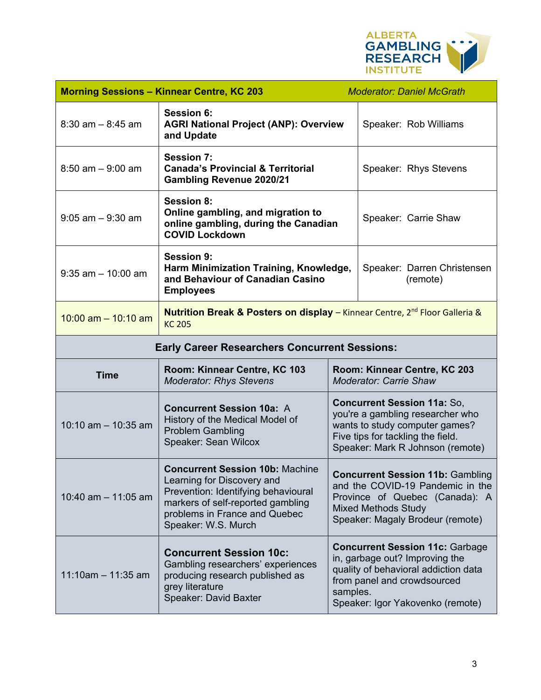

| <b>Morning Sessions - Kinnear Centre, KC 203</b>     |                                                                                                                                                                                                          |                                                                                                                                                                                                 | <b>Moderator: Daniel McGrath</b>        |  |  |
|------------------------------------------------------|----------------------------------------------------------------------------------------------------------------------------------------------------------------------------------------------------------|-------------------------------------------------------------------------------------------------------------------------------------------------------------------------------------------------|-----------------------------------------|--|--|
| $8:30$ am $-8:45$ am                                 | <b>Session 6:</b><br><b>AGRI National Project (ANP): Overview</b><br>and Update                                                                                                                          |                                                                                                                                                                                                 | Speaker: Rob Williams                   |  |  |
| $8:50$ am $-9:00$ am                                 | <b>Session 7:</b><br><b>Canada's Provincial &amp; Territorial</b><br><b>Gambling Revenue 2020/21</b>                                                                                                     |                                                                                                                                                                                                 | Speaker: Rhys Stevens                   |  |  |
| $9:05$ am $-9:30$ am                                 | <b>Session 8:</b><br>Online gambling, and migration to<br>online gambling, during the Canadian<br><b>COVID Lockdown</b>                                                                                  |                                                                                                                                                                                                 | Speaker: Carrie Shaw                    |  |  |
| $9:35$ am $-10:00$ am                                | <b>Session 9:</b><br>Harm Minimization Training, Knowledge,<br>and Behaviour of Canadian Casino<br><b>Employees</b>                                                                                      |                                                                                                                                                                                                 | Speaker: Darren Christensen<br>(remote) |  |  |
| 10:00 am $-$ 10:10 am                                | <b>Nutrition Break &amp; Posters on display</b> – Kinnear Centre, 2 <sup>nd</sup> Floor Galleria &<br><b>KC 205</b>                                                                                      |                                                                                                                                                                                                 |                                         |  |  |
| <b>Early Career Researchers Concurrent Sessions:</b> |                                                                                                                                                                                                          |                                                                                                                                                                                                 |                                         |  |  |
| <b>Time</b>                                          | Room: Kinnear Centre, KC 103<br><b>Moderator: Rhys Stevens</b>                                                                                                                                           | Room: Kinnear Centre, KC 203<br><b>Moderator: Carrie Shaw</b>                                                                                                                                   |                                         |  |  |
| 10:10 am $-$ 10:35 am                                | <b>Concurrent Session 10a: A</b><br>History of the Medical Model of<br><b>Problem Gambling</b><br>Speaker: Sean Wilcox                                                                                   | <b>Concurrent Session 11a: So,</b><br>you're a gambling researcher who<br>wants to study computer games?<br>Five tips for tackling the field.<br>Speaker: Mark R Johnson (remote)               |                                         |  |  |
| 10:40 am $-$ 11:05 am                                | <b>Concurrent Session 10b: Machine</b><br>Learning for Discovery and<br>Prevention: Identifying behavioural<br>markers of self-reported gambling<br>problems in France and Quebec<br>Speaker: W.S. Murch | <b>Concurrent Session 11b: Gambling</b><br>and the COVID-19 Pandemic in the<br>Province of Quebec (Canada): A<br><b>Mixed Methods Study</b><br>Speaker: Magaly Brodeur (remote)                 |                                         |  |  |
| $11:10$ am - 11:35 am                                | <b>Concurrent Session 10c:</b><br>Gambling researchers' experiences<br>producing research published as<br>grey literature<br>Speaker: David Baxter                                                       | <b>Concurrent Session 11c: Garbage</b><br>in, garbage out? Improving the<br>quality of behavioral addiction data<br>from panel and crowdsourced<br>samples.<br>Speaker: Igor Yakovenko (remote) |                                         |  |  |